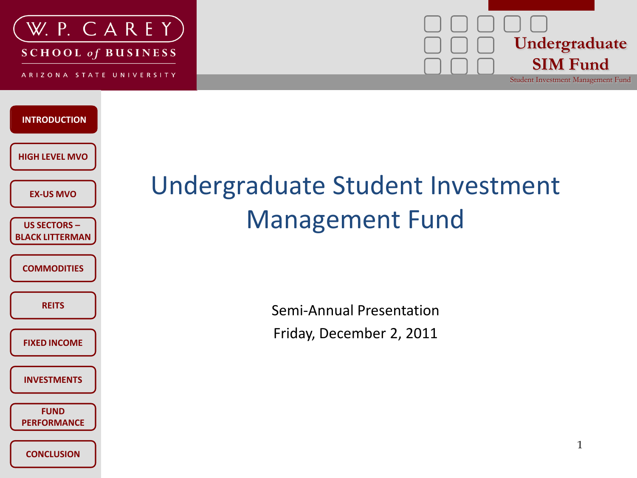



**INTRODUCTION INTRODUCTION HIGH LEVEL MVO US SECTORS – BLACK LITTERMAN COMMODITIES REITS INVESTMENTS CONCLUSION EX-US MVO FUND PERFORMANCE FIXED INCOME**

### Undergraduate Student Investment Management Fund

Semi-Annual Presentation Friday, December 2, 2011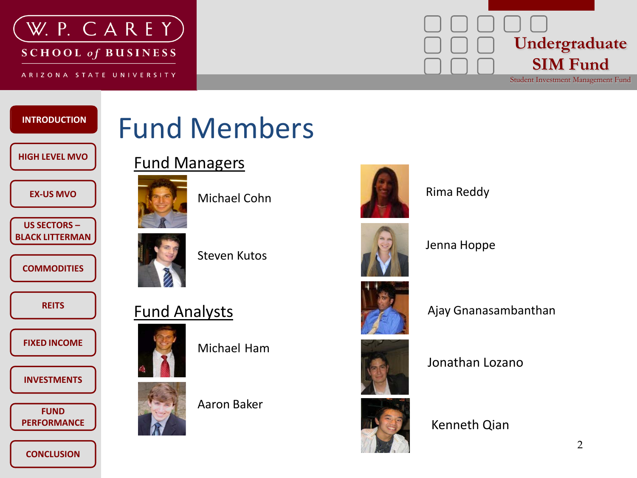

## **Undergraduate SIM Fund**

Student Investment Management Fund

#### **INTRODUCTION INTRODUCTION**

#### **HIGH LEVEL MVO**

#### **EX-US MVO**

**US SECTORS – BLACK LITTERMAN**

**COMMODITIES**

**REITS**

**FIXED INCOME**

**INVESTMENTS**

**FUND PERFORMANCE**

**CONCLUSION**

## Fund Members

#### Fund Managers



Michael Cohn



Steven Kutos



Michael Ham



Aaron Baker



Rima Reddy





Jenna Hoppe



Ajay Gnanasambanthan





Jonathan Lozano

#### Kenneth Qian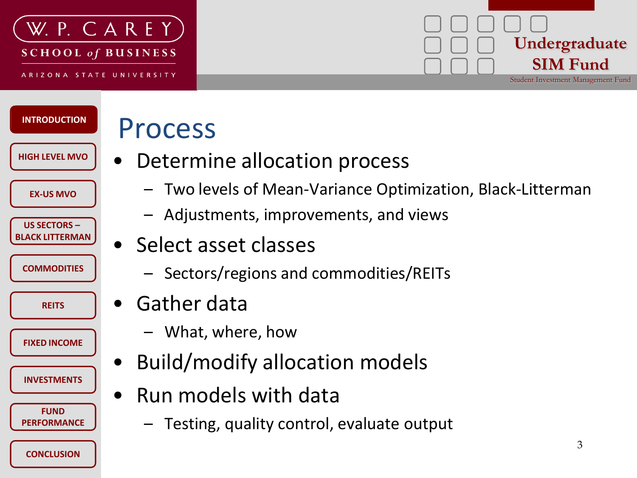

**INTRODUCTION INTRODUCTION**

**HIGH LEVEL MVO**

**US SECTORS – BLACK LITTERMAN**

**EX-US MVO**

**COMMODITIES**

**REITS**

**INVESTMENTS**

**FIXED INCOME**

**FUND PERFORMANCE**

**CONCLUSION**

# **Undergraduate SIM Fund**

Student Investment Management Fund

## Process

- Determine allocation process
	- Two levels of Mean-Variance Optimization, Black-Litterman
	- Adjustments, improvements, and views
- Select asset classes
	- Sectors/regions and commodities/REITs
- Gather data
	- What, where, how
- Build/modify allocation models
- Run models with data
	- Testing, quality control, evaluate output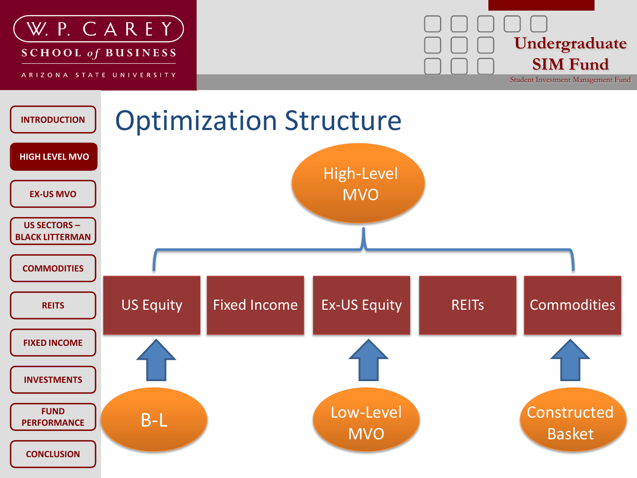



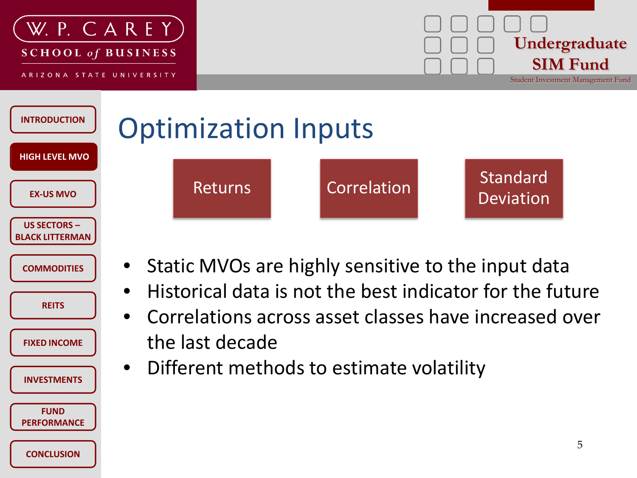

**COMMODITIES**

**REITS**

**FIXED INCOME**

**INVESTMENTS**

**FUND PERFORMANCE**

**CONCLUSION**

• Static MVOs are highly sensitive to the input data

• Historical data is not the best indicator for the future

• Correlations across asset classes have increased over the last decade

• Different methods to estimate volatility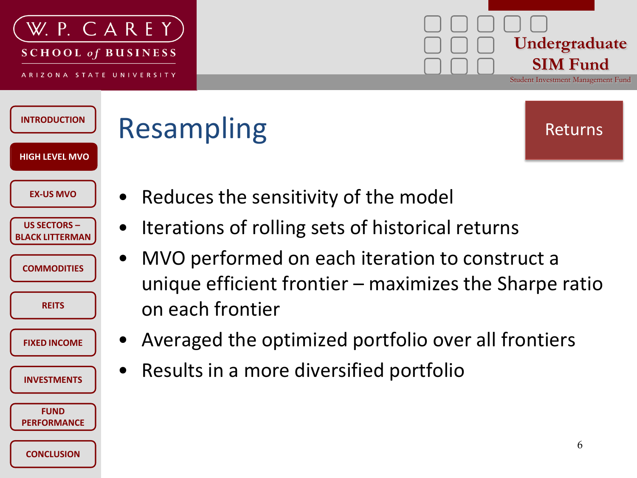

#### **Undergraduate SIM Fund** Student Investment Management Fund

| <b>INTRODUCTION</b>                                              | <b>Resampling</b><br>Returns                                                                                                                |   |
|------------------------------------------------------------------|---------------------------------------------------------------------------------------------------------------------------------------------|---|
| <b>HIGH LEVEL MVO</b><br><b>EX-US MVO</b><br><b>US SECTORS -</b> | Reduces the sensitivity of the model<br>Iterations of rolling sets of historical returns                                                    |   |
| <b>BLACK LITTERMAN</b><br><b>COMMODITIES</b><br><b>REITS</b>     | MVO performed on each iteration to construct a<br>$\bullet$<br>unique efficient frontier $-$ maximizes the Sharpe ratio<br>on each frontier |   |
| <b>FIXED INCOME</b>                                              | Averaged the optimized portfolio over all frontiers<br>$\bullet$                                                                            |   |
| <b>INVESTMENTS</b>                                               | Results in a more diversified portfolio                                                                                                     |   |
| <b>FUND</b><br><b>PERFORMANCE</b>                                |                                                                                                                                             |   |
| <b>CONCLUSION</b>                                                |                                                                                                                                             | 6 |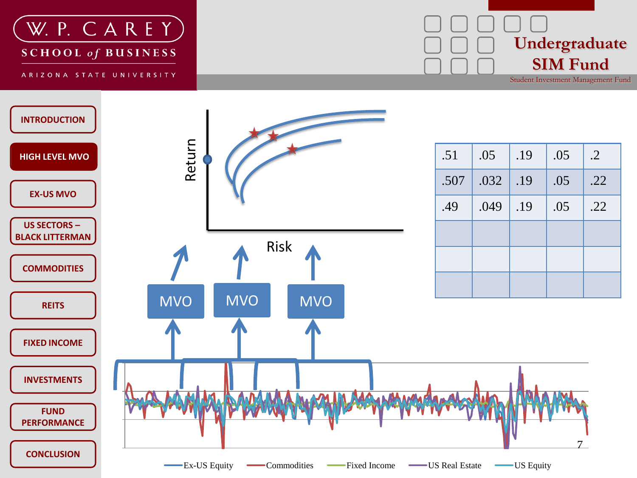



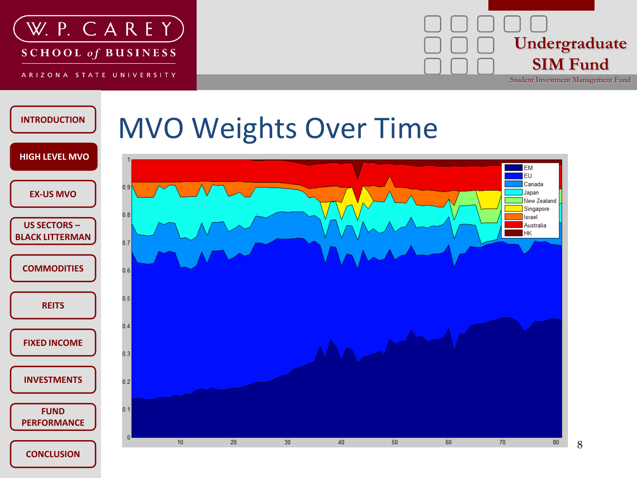



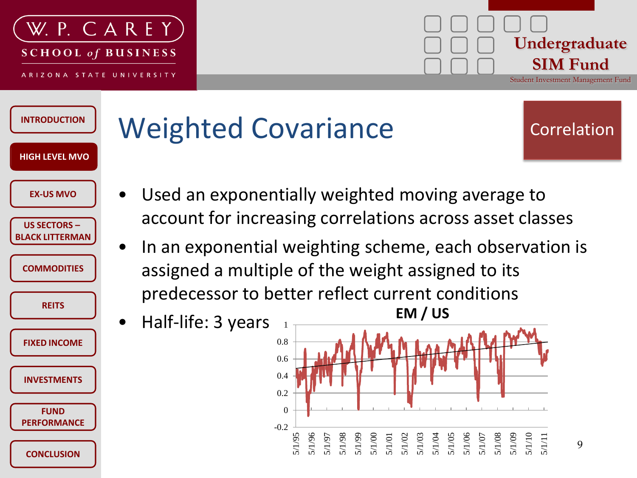

#### **Undergraduate SIM Fund** Student Investment Management Fund

#### **INTRODUCTION HIGH LEVEL MVO HIGH LEVEL MVO US SECTORS – BLACK LITTERMAN COMMODITIES REITS INVESTMENTS CONCLUSION EX-US MVO FUND PERFORMANCE FIXED INCOME**

# Weighted Covariance

- Correlation
- Used an exponentially weighted moving average to account for increasing correlations across asset classes
- In an exponential weighting scheme, each observation is assigned a multiple of the weight assigned to its predecessor to better reflect current conditions
- Half-life: 3 years 0.8 1

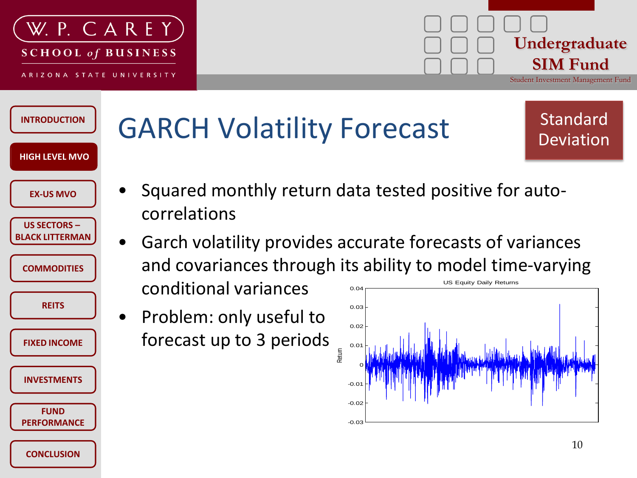

**CONCLUSION**

**FUND PERFORMANCE**



#### **INTRODUCTION HIGH LEVEL MVO HIGH LEVEL MVO US SECTORS – BLACK LITTERMAN COMMODITIES REITS INVESTMENTS EX-US MVO FIXED INCOME** GARCH Volatility Forecast • Squared monthly return data tested positive for autocorrelations • Garch volatility provides accurate forecasts of variances and covariances through its ability to model time-varying conditional variances • Problem: only useful to forecast up to 3 periods Standard Deviation  $-0.0$ 0 0.01 0.02 0.03 0.04 Return US Equity Daily Returns

-0.03

-0.02

10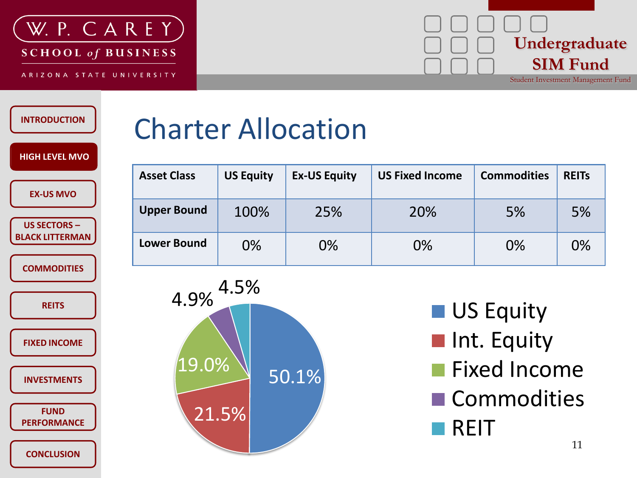

## **Undergraduate SIM Fund**

Student Investment Management Fund

#### **INTRODUCTION**

**HIGH LEVEL MVO HIGH LEVEL MVO**

**US SECTORS – BLACK LITTERMAN**

**EX-US MVO**

**COMMODITIES**

**REITS**

**FIXED INCOME**

**INVESTMENTS**

**FUND PERFORMANCE**

**CONCLUSION**

## Charter Allocation

| <b>Asset Class</b> | <b>US Equity</b> | <b>Ex-US Equity</b> | <b>US Fixed Income</b> | <b>Commodities</b> | <b>REITS</b> |
|--------------------|------------------|---------------------|------------------------|--------------------|--------------|
| <b>Upper Bound</b> | 100%             | 25%                 | 20%                    | 5%                 | 5%           |
| <b>Lower Bound</b> | 0%               | 0%                  | 0%                     | 0%                 | 0%           |



- **US Equity**
- **Int. Equity**
- **Fixed Income**
- **Commodities** REIT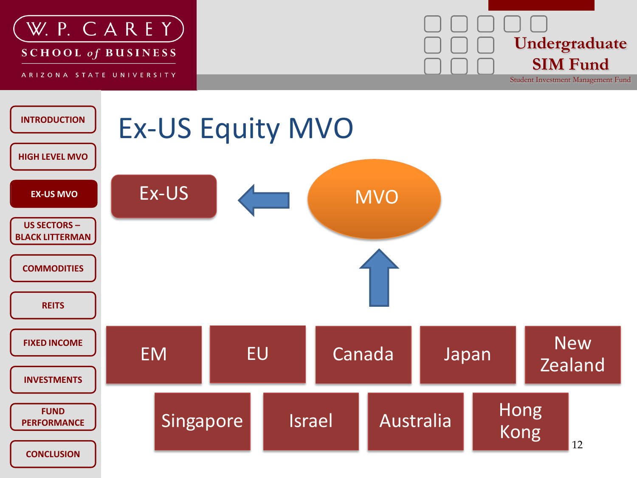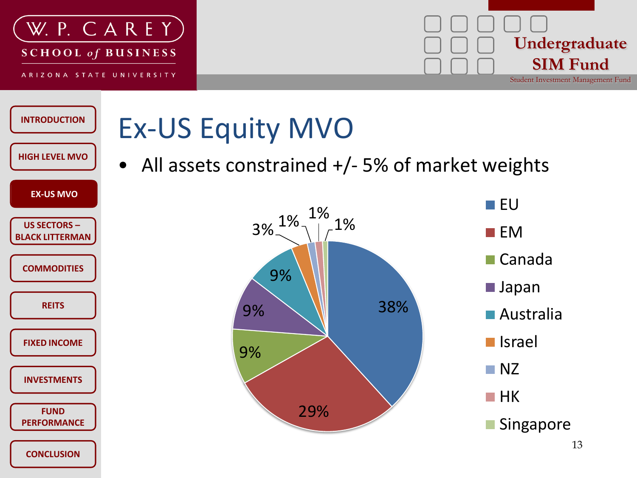



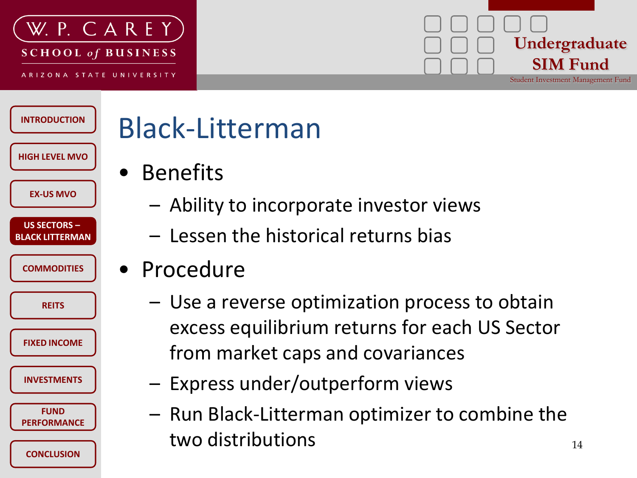

#### **Undergraduate SIM Fund** Student Investment Management Fund

**INTRODUCTION HIGH LEVEL MVO US SECTORS – BLACK LITTERMAN COMMODITIES REITS INVESTMENTS CONCLUSION EX-US MVO FUND PERFORMANCE FIXED INCOME**

# Black-Litterman

- Benefits
	- Ability to incorporate investor views
	- Lessen the historical returns bias
- Procedure
	- Use a reverse optimization process to obtain excess equilibrium returns for each US Sector from market caps and covariances
	- Express under/outperform views
		- Run Black-Litterman optimizer to combine the two distributions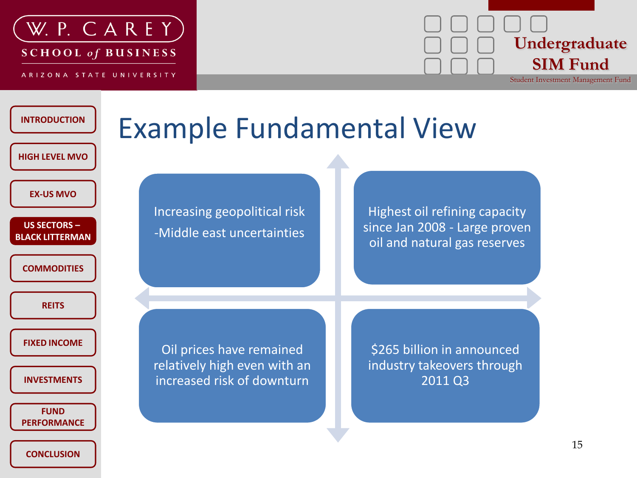

**SCHOOL of BUSINESS** 

ARIZONA STATE UNIVERSITY



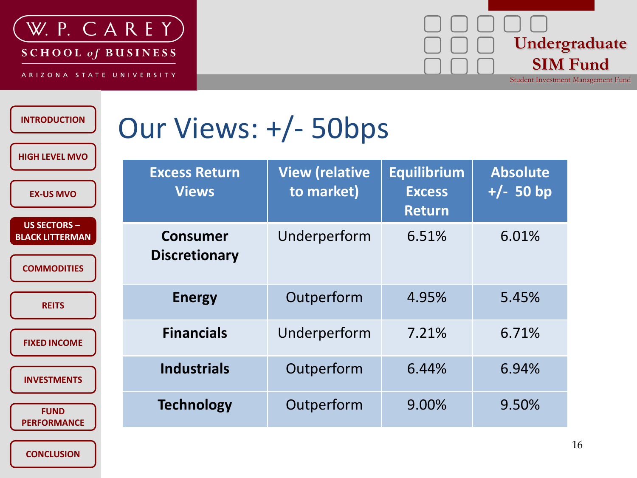



Student Investment Management Fund

| <b>INTRODUCTION</b><br><b>HIGH LEVEL MVO</b>                        | Our Views: +/- 50bps                    |                                     |                                                      |                                |  |  |
|---------------------------------------------------------------------|-----------------------------------------|-------------------------------------|------------------------------------------------------|--------------------------------|--|--|
| <b>EX-US MVO</b>                                                    | <b>Excess Return</b><br><b>Views</b>    | <b>View (relative</b><br>to market) | <b>Equilibrium</b><br><b>Excess</b><br><b>Return</b> | <b>Absolute</b><br>$+/- 50 bp$ |  |  |
| <b>US SECTORS -</b><br><b>BLACK LITTERMAN</b><br><b>COMMODITIES</b> | <b>Consumer</b><br><b>Discretionary</b> | Underperform                        | 6.51%                                                | 6.01%                          |  |  |
| <b>REITS</b>                                                        | <b>Energy</b>                           | Outperform                          | 4.95%                                                | 5.45%                          |  |  |
| <b>FIXED INCOME</b>                                                 | <b>Financials</b>                       | Underperform                        | 7.21%                                                | 6.71%                          |  |  |
| <b>INVESTMENTS</b>                                                  | <b>Industrials</b>                      | Outperform                          | 6.44%                                                | 6.94%                          |  |  |
| <b>FUND</b><br><b>PERFORMANCE</b>                                   | <b>Technology</b>                       | Outperform                          | 9.00%                                                | 9.50%                          |  |  |

**CONCLUSION**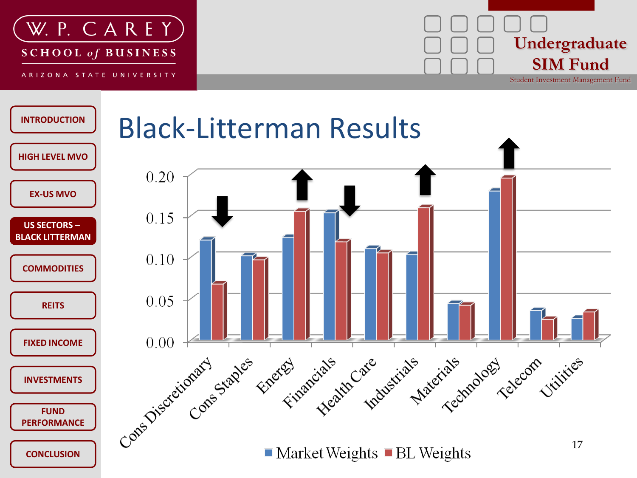



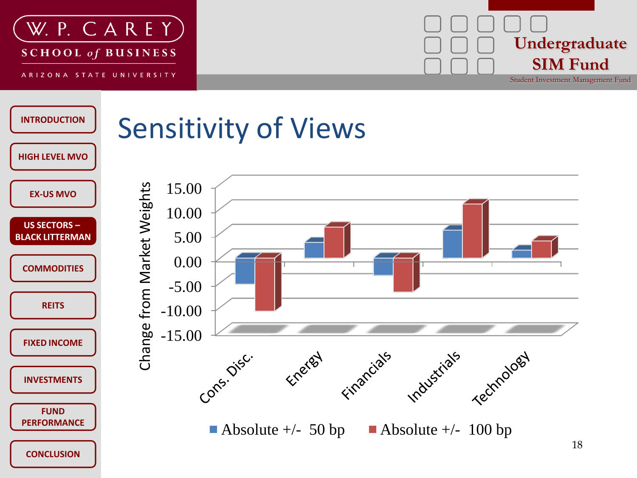



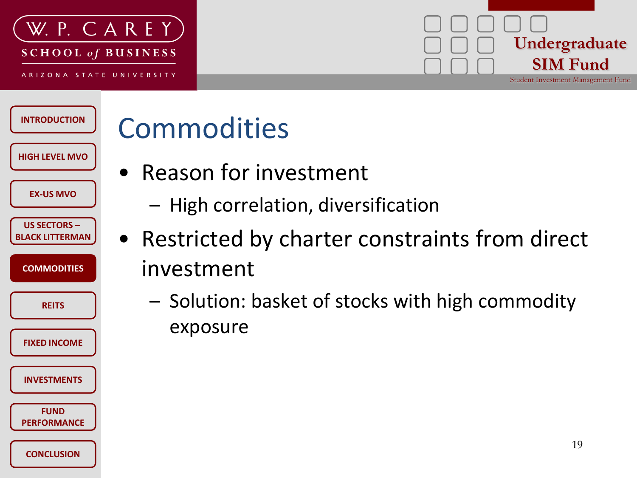

# **Undergraduate SIM Fund**

Student Investment Management Fund

**INTRODUCTION HIGH LEVEL MVO US SECTORS – BLACK LITTERMAN COMMODITIES REITS INVESTMENTS CONCLUSION EX-US MVO FUND PERFORMANCE FIXED INCOME**

# Commodities

- Reason for investment
	- High correlation, diversification
- Restricted by charter constraints from direct investment
	- Solution: basket of stocks with high commodity exposure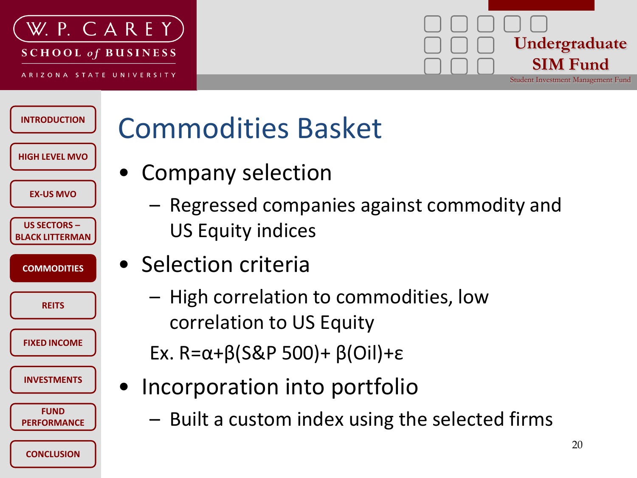

#### **Undergraduate SIM Fund** Student Investment Management Fund

#### **INTRODUCTION HIGH LEVEL MVO US SECTORS – BLACK LITTERMAN COMMODITIES REITS INVESTMENTS EX-US MVO FUND PERFORMANCE FIXED INCOME**

**CONCLUSION**

# Commodities Basket

- Company selection
	- Regressed companies against commodity and US Equity indices
- Selection criteria
	- High correlation to commodities, low correlation to US Equity
	- Ex. R=α+β(S&P 500)+ β(Oil)+ε
	- Incorporation into portfolio
		- Built a custom index using the selected firms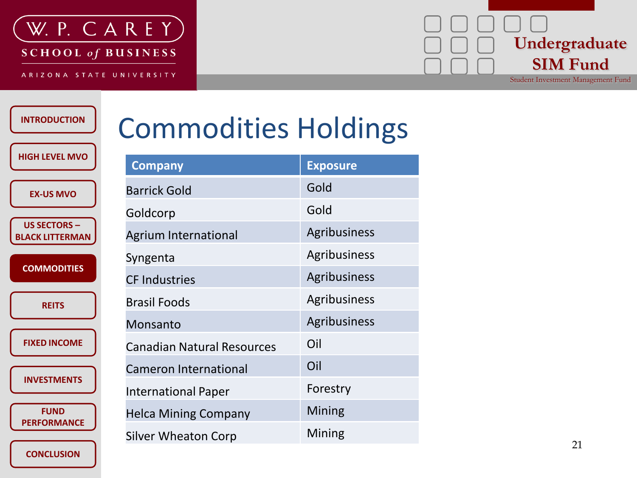

SCHOOL of BUSINESS

ARIZONA STATE UNIVERSITY

## **Undergraduate SIM Fund**

Student Investment Management Fund

#### **INTRODUCTION**

**HIGH LEVEL MVO**

| <b>Commodities Holdings</b> |  |  |  |
|-----------------------------|--|--|--|
|-----------------------------|--|--|--|

| <b>EX-US MVO</b>                            | E               |
|---------------------------------------------|-----------------|
|                                             | (               |
| <b>US SECTORS</b><br><b>BLACK LITTERMAN</b> | l               |
| <b>COMMODITIES</b>                          | $\mathbf \zeta$ |
|                                             | (               |
| <b>REITS</b>                                | E               |
|                                             | ľ               |
| <b>FIXED INCOME</b>                         | (               |
| <b>INVESTMENTS</b>                          | (               |
|                                             |                 |
| <b>FUND</b><br><b>PERFORMANCE</b>           | ŀ               |
|                                             | C               |

**CONCLUSION**

| <b>Company</b>                    | <b>Exposure</b> |
|-----------------------------------|-----------------|
| <b>Barrick Gold</b>               | Gold            |
| Goldcorp                          | Gold            |
| <b>Agrium International</b>       | Agribusiness    |
| Syngenta                          | Agribusiness    |
| <b>CF Industries</b>              | Agribusiness    |
| <b>Brasil Foods</b>               | Agribusiness    |
| Monsanto                          | Agribusiness    |
| <b>Canadian Natural Resources</b> | Oil             |
| <b>Cameron International</b>      | Oil             |
| <b>International Paper</b>        | Forestry        |
| <b>Helca Mining Company</b>       | <b>Mining</b>   |
| Silver Wheaton Corp               | Mining          |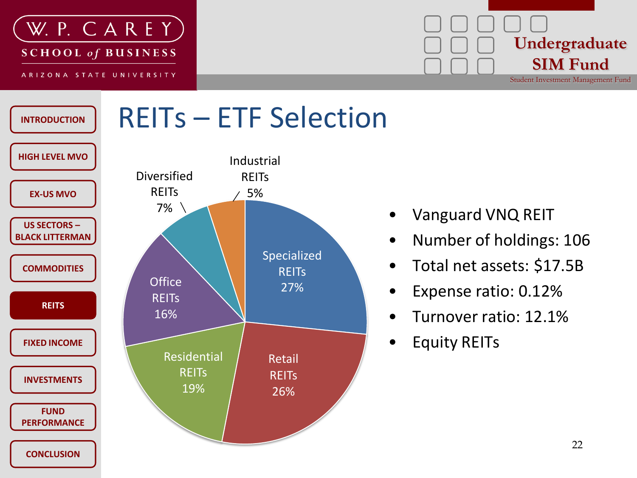





- Vanguard VNQ REIT
- Number of holdings: 106
- Total net assets: \$17.5B
- Expense ratio: 0.12%
- Turnover ratio: 12.1%
- Equity REITs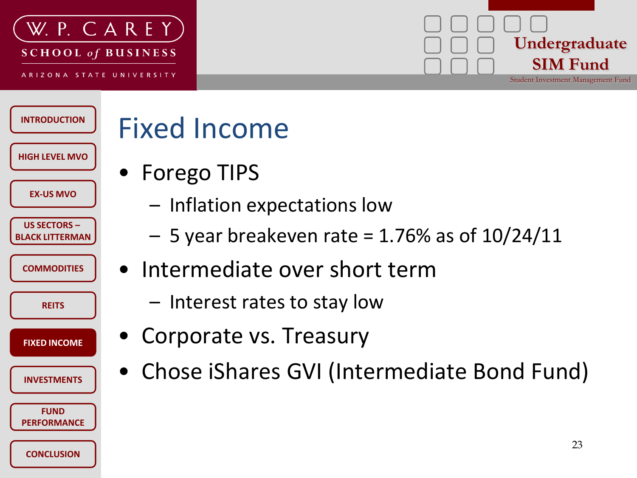

# **Undergraduate SIM Fund**

Student Investment Management Fund

**INTRODUCTION HIGH LEVEL MVO US SECTORS – BLACK LITTERMAN COMMODITIES REITS INVESTMENTS EX-US MVO FUND FIXED INCOME**

**CONCLUSION**

**PERFORMANCE**

## Fixed Income

- Forego TIPS
	- Inflation expectations low
	- $-5$  year breakeven rate = 1.76% as of 10/24/11
- Intermediate over short term
	- Interest rates to stay low
- Corporate vs. Treasury
- Chose iShares GVI (Intermediate Bond Fund)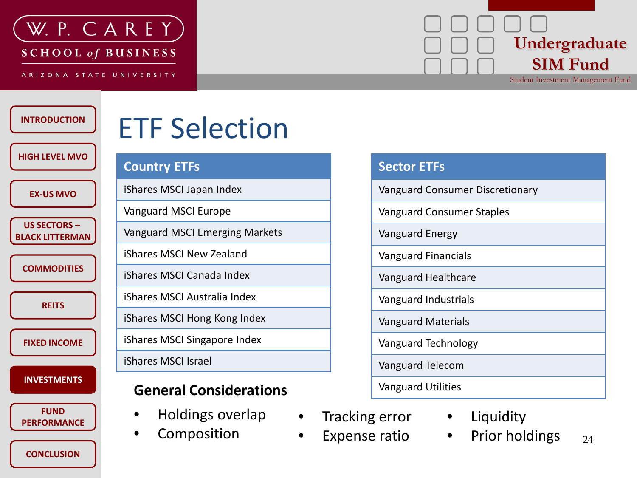

**SCHOOL of BUSINESS** 

ARIZONA STATE UNIVERSITY

# **Undergraduate SIM Fund**

Student Investment Management Fund

#### **INTRODUCTION**

#### **HIGH LEVEL MVO**

**EX-US MVO**

**US SECTORS – BLACK LITTERMAN**

**COMMODITIES**

**REITS**

**FIXED INCOME**

**INVESTMENTS**

**FUND PERFORMANCE**

**CONCLUSION**

### ETF Selection

#### **Country ETFs**

iShares MSCI Japan Index

Vanguard MSCI Europe

Vanguard MSCI Emerging Markets

iShares MSCI New Zealand

iShares MSCI Canada Index

iShares MSCI Australia Index

iShares MSCI Hong Kong Index

iShares MSCI Singapore Index

iShares MSCI Israel

#### **General Considerations**

- Holdings overlap
- **Composition**

| <b>Sector ETFs</b>                     |
|----------------------------------------|
| <b>Vanguard Consumer Discretionary</b> |
| <b>Vanguard Consumer Staples</b>       |
| Vanguard Energy                        |
| <b>Vanguard Financials</b>             |
| Vanguard Healthcare                    |
| Vanguard Industrials                   |
| <b>Vanguard Materials</b>              |
| Vanguard Technology                    |
| Vanguard Telecom                       |
| <b>Vanguard Utilities</b>              |

- Tracking error
- Expense ratio
- **Liquidity** 
	- 24 • Prior holdings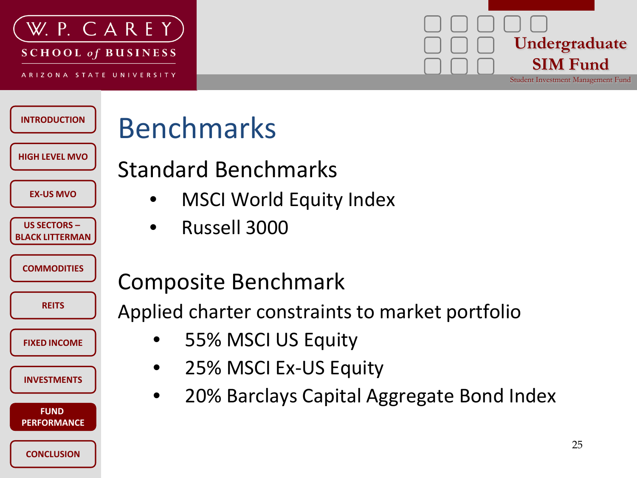

# **Undergraduate SIM Fund**

Student Investment Management Fund

| <b>INTRODUCTION</b>                           | Be              |
|-----------------------------------------------|-----------------|
| <b>HIGH LEVEL MVO</b>                         | Sta             |
| <b>EX-US MVO</b>                              |                 |
| <b>US SECTORS -</b><br><b>BLACK LITTERMAN</b> |                 |
| <b>COMMODITIES</b>                            | Co              |
| <b>REITS</b>                                  | Ap <sub>l</sub> |
| <b>FIXED INCOME</b>                           |                 |
| <b>INVESTMENTS</b>                            |                 |
| <b>FUND</b><br><b>PERFORMANCE</b>             |                 |
| <b>CONCLUSION</b>                             |                 |

## enchmarks

#### andard Benchmarks

- MSCI World Equity Index
- Russell 3000

#### mposite Benchmark

plied charter constraints to market portfolio

- 55% MSCI US Equity
- 25% MSCI Ex-US Equity
- 20% Barclays Capital Aggregate Bond Index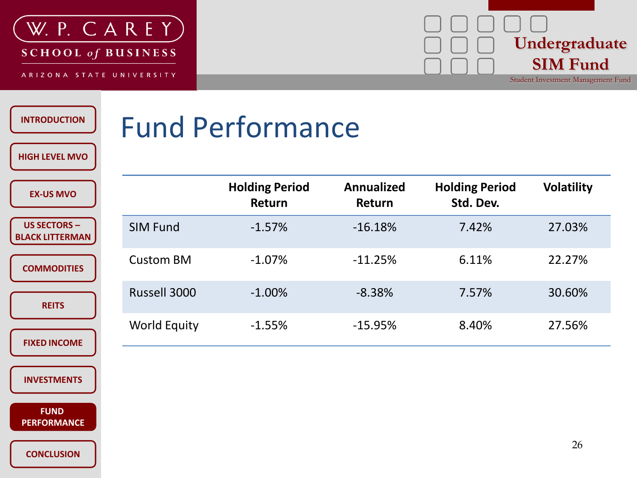

**Undergraduate SIM Fund**

Student Investment Management Fund

| <b>INTRODUCTION</b><br><b>HIGH LEVEL MVO</b>  | <b>Fund Performance</b> |                                 |                             |                                    |                   |
|-----------------------------------------------|-------------------------|---------------------------------|-----------------------------|------------------------------------|-------------------|
| <b>EX-US MVO</b>                              |                         | <b>Holding Period</b><br>Return | <b>Annualized</b><br>Return | <b>Holding Period</b><br>Std. Dev. | <b>Volatility</b> |
| <b>US SECTORS -</b><br><b>BLACK LITTERMAN</b> | <b>SIM Fund</b>         | $-1.57%$                        | $-16.18%$                   | 7.42%                              | 27.03%            |
| <b>COMMODITIES</b>                            | <b>Custom BM</b>        | $-1.07\%$                       | $-11.25%$                   | 6.11%                              | 22.27%            |
| <b>REITS</b>                                  | Russell 3000            | $-1.00\%$                       | $-8.38%$                    | 7.57%                              | 30.60%            |
| <b>FIXED INCOME</b>                           | <b>World Equity</b>     | $-1.55%$                        | $-15.95%$                   | 8.40%                              | 27.56%            |
|                                               |                         |                                 |                             |                                    |                   |

**INVESTMENTS**

**BLACK LIT** 

**FUND FUND PERFORMANCE**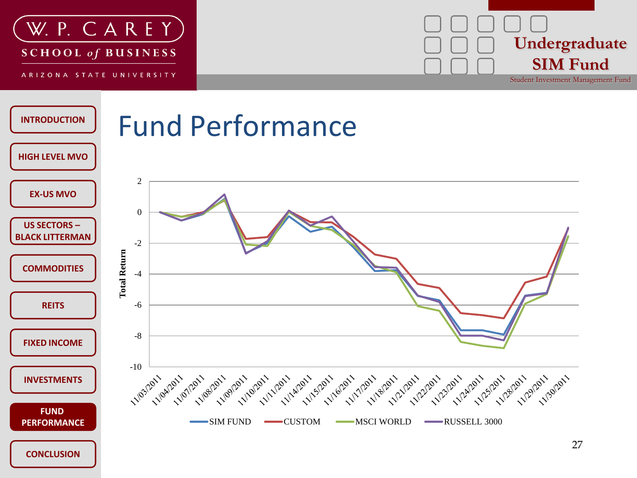

**Undergraduate SIM Fund**

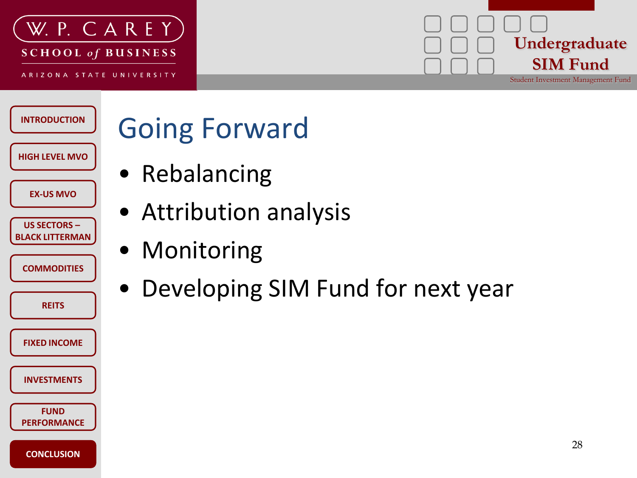



Student Investment Management Fund

**HIGH LEVEL MVO US SECTORS – BLACK LITTERMAN COMMODITIES REITS EX-US MVO**

**INVESTMENTS**

**FIXED INCOME**

**FUND PERFORMANCE**

**CONCLUSION**

**INTRODUCTION**

## Going Forward

- Rebalancing
- Attribution analysis
- Monitoring
- Developing SIM Fund for next year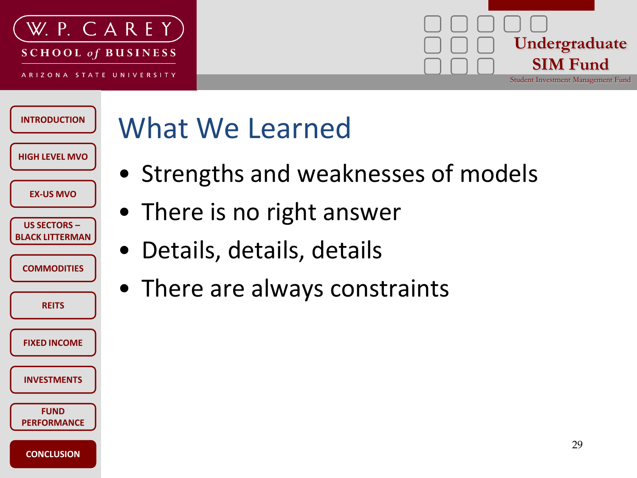

#### **Undergraduate SIM Fund** Student Investment Management Fund

#### **INTRODUCTION HIGH LEVEL MVO US SECTORS – BLACK LITTERMAN COMMODITIES REITS INVESTMENTS EX-US MVO FUND PERFORMANCE FIXED INCOME**

**CONCLUSION**

# What We Learned

- Strengths and weaknesses of models
- There is no right answer
- Details, details, details
- There are always constraints